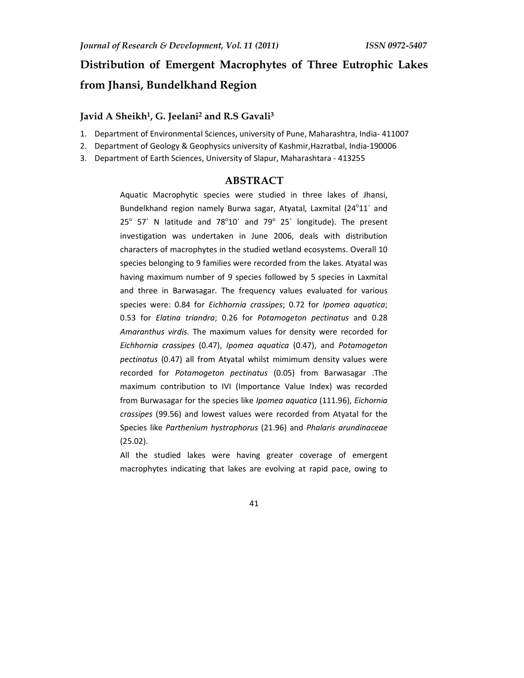# **Distribution of Emergent Macrophytes of Three Eutrophic Lakes from Jhansi, Bundelkhand Region**

## **Javid A Sheikh<sup>1</sup> , G. Jeelani<sup>2</sup> and R.S Gavali<sup>3</sup>**

- 1. Department of Environmental Sciences, university of Pune, Maharashtra, India- 411007
- 2. Department of Geology & Geophysics university of Kashmir,Hazratbal, India-190006
- 3. Department of Earth Sciences, University of Slapur, Maharashtara 413255

## **ABSTRACT**

Aquatic Macrophytic species were studied in three lakes of Jhansi, Bundelkhand region namely Burwa sagar, Atyatal, Laxmital (24°11' and  $25^{\circ}$  57<sup>'</sup> N latitude and 78 $^{\circ}$ 10' and 79 $^{\circ}$  25' longitude). The present investigation was undertaken in June 2006, deals with distribution characters of macrophytes in the studied wetland ecosystems. Overall 10 species belonging to 9 families were recorded from the lakes. Atyatal was having maximum number of 9 species followed by 5 species in Laxmital and three in Barwasagar. The frequency values evaluated for various species were: 0.84 for *Eichhornia crassipes*; 0.72 for *Ipomea aquatica*; 0.53 for *Elatina triandra*; 0.26 for *Potamogeton pectinatus* and 0.28 *Amaranthus virdis*. The maximum values for density were recorded for *Eichhornia crassipes* (0.47), *Ipomea aquatica* (0.47), and *Potamogeton pectinatus* (0.47) all from Atyatal whilst mimimum density values were recorded for *Potamogeton pectinatus* (0.05) from Barwasagar .The maximum contribution to IVI (Importance Value Index) was recorded from Burwasagar for the species like *Ipomea aquatica* (111.96), *Eichornia crassipes* (99.56) and lowest values were recorded from Atyatal for the Species like *Parthenium hystrophorus* (21.96) and *Phalaris arundinaceae* (25.02).

All the studied lakes were having greater coverage of emergent macrophytes indicating that lakes are evolving at rapid pace, owing to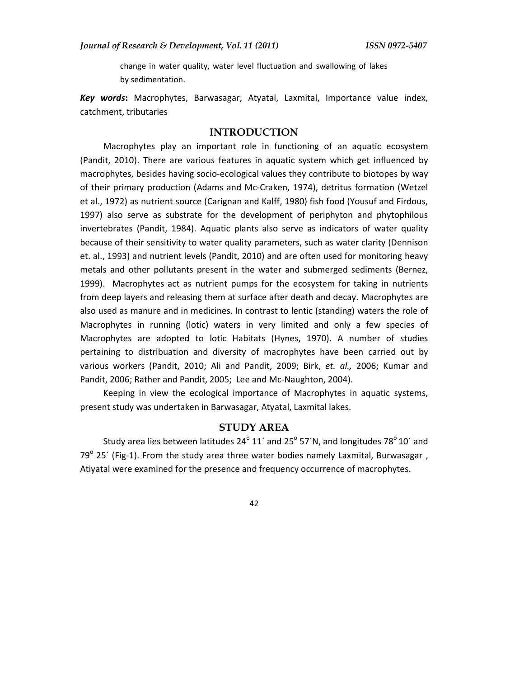change in water quality, water level fluctuation and swallowing of lakes by sedimentation.

*Key words***:** Macrophytes, Barwasagar, Atyatal, Laxmital, Importance value index, catchment, tributaries

## **INTRODUCTION**

Macrophytes play an important role in functioning of an aquatic ecosystem (Pandit, 2010). There are various features in aquatic system which get influenced by macrophytes, besides having socio-ecological values they contribute to biotopes by way of their primary production (Adams and Mc-Craken, 1974), detritus formation (Wetzel et al., 1972) as nutrient source (Carignan and Kalff, 1980) fish food (Yousuf and Firdous, 1997) also serve as substrate for the development of periphyton and phytophilous invertebrates (Pandit, 1984). Aquatic plants also serve as indicators of water quality because of their sensitivity to water quality parameters, such as water clarity (Dennison et. al., 1993) and nutrient levels (Pandit, 2010) and are often used for monitoring heavy metals and other pollutants present in the water and submerged sediments (Bernez, 1999). Macrophytes act as nutrient pumps for the ecosystem for taking in nutrients from deep layers and releasing them at surface after death and decay. Macrophytes are also used as manure and in medicines. In contrast to lentic (standing) waters the role of Macrophytes in running (lotic) waters in very limited and only a few species of Macrophytes are adopted to lotic Habitats (Hynes, 1970). A number of studies pertaining to distribuation and diversity of macrophytes have been carried out by various workers (Pandit, 2010; Ali and Pandit, 2009; Birk, *et. al.,* 2006; Kumar and Pandit, 2006; Rather and Pandit, 2005; Lee and Mc-Naughton, 2004).

Keeping in view the ecological importance of Macrophytes in aquatic systems, present study was undertaken in Barwasagar, Atyatal, Laxmital lakes.

#### **STUDY AREA**

Study area lies between latitudes 24 $^{\circ}$  11´ and 25 $^{\circ}$  57´N, and longitudes 78 $^{\circ}$  10´ and 79 $^{\circ}$  25´ (Fig-1). From the study area three water bodies namely Laxmital, Burwasagar, Atiyatal were examined for the presence and frequency occurrence of macrophytes.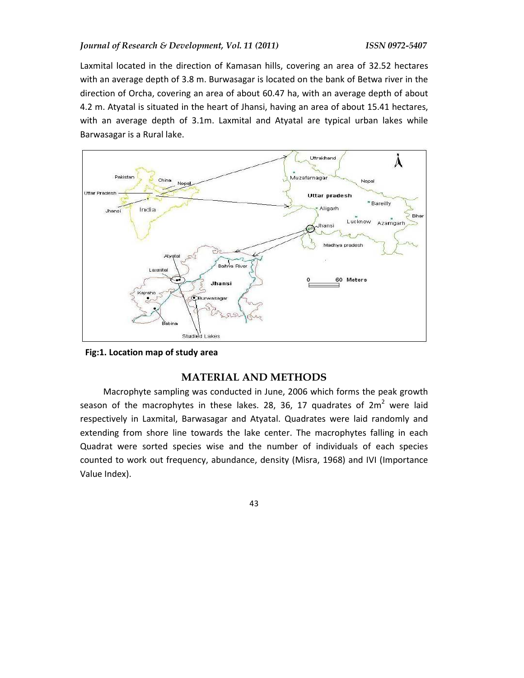Laxmital located in the direction of Kamasan hills, covering an area of 32.52 hectares with an average depth of 3.8 m. Burwasagar is located on the bank of Betwa river in the direction of Orcha, covering an area of about 60.47 ha, with an average depth of about 4.2 m. Atyatal is situated in the heart of Jhansi, having an area of about 15.41 hectares, with an average depth of 3.1m. Laxmital and Atyatal are typical urban lakes while Barwasagar is a Rural lake.



**Fig:1. Location map of study area** 

## **MATERIAL AND METHODS**

Macrophyte sampling was conducted in June, 2006 which forms the peak growth season of the macrophytes in these lakes. 28, 36, 17 quadrates of  $2m^2$  were laid respectively in Laxmital, Barwasagar and Atyatal. Quadrates were laid randomly and extending from shore line towards the lake center. The macrophytes falling in each Quadrat were sorted species wise and the number of individuals of each species counted to work out frequency, abundance, density (Misra, 1968) and IVI (Importance Value Index).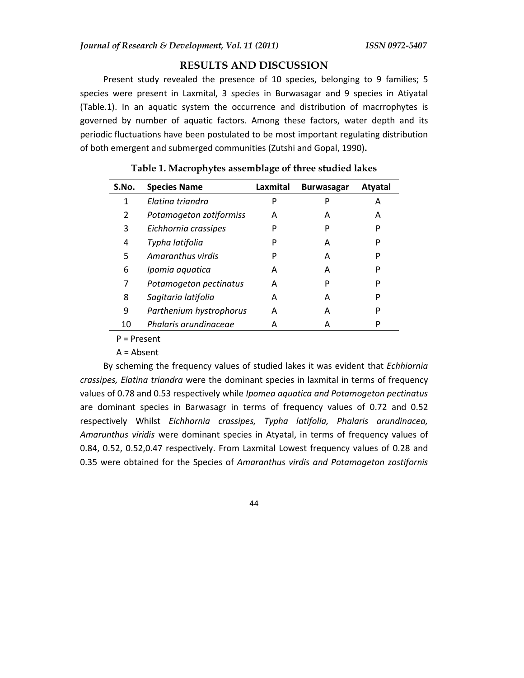## **RESULTS AND DISCUSSION**

Present study revealed the presence of 10 species, belonging to 9 families; 5 species were present in Laxmital, 3 species in Burwasagar and 9 species in Atiyatal (Table.1). In an aquatic system the occurrence and distribution of macrrophytes is governed by number of aquatic factors. Among these factors, water depth and its periodic fluctuations have been postulated to be most important regulating distribution of both emergent and submerged communities (Zutshi and Gopal, 1990)**.** 

| S.No. | <b>Species Name</b>     | Laxmital | <b>Burwasagar</b> | <b>Atyatal</b> |
|-------|-------------------------|----------|-------------------|----------------|
| 1     | Flatina triandra        | P        | P                 | А              |
| 2     | Potamogeton zotiformiss | A        | А                 | А              |
| 3     | Eichhornia crassipes    | P        | P                 | P              |
| 4     | Typha latifolia         | P        | А                 | P              |
| 5     | Amaranthus virdis       | P        | А                 | P              |
| 6     | Ipomia aquatica         | А        | А                 | P              |
| 7     | Potamogeton pectinatus  | А        | P                 | P              |
| 8     | Sagitaria latifolia     | А        | А                 | P              |
| 9     | Parthenium hystrophorus | А        | А                 | P              |
| 10    | Phalaris arundinaceae   | А        | А                 | P              |

### **Table 1. Macrophytes assemblage of three studied lakes**

Р = Present

A = Absent

By scheming the frequency values of studied lakes it was evident that *Echhiornia crassipes, Elatina triandra* were the dominant species in laxmital in terms of frequency values of 0.78 and 0.53 respectively while *Ipomea aquatica and Potamogeton pectinatus* are dominant species in Barwasagr in terms of frequency values of 0.72 and 0.52 respectively Whilst *Eichhornia crassipes, Typha latifolia, Phalaris arundinacea, Amarunthus viridis* were dominant species in Atyatal, in terms of frequency values of 0.84, 0.52, 0.52,0.47 respectively. From Laxmital Lowest frequency values of 0.28 and 0.35 were obtained for the Species of *Amaranthus virdis and Potamogeton zostifornis*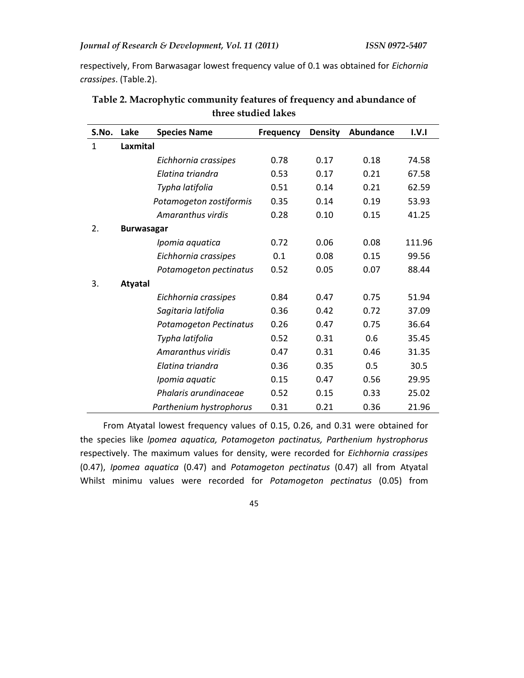respectively, From Barwasagar lowest frequency value of 0.1 was obtained for *Eichornia crassipes*. (Table.2).

| S.No. | Lake              | <b>Species Name</b>           | <b>Frequency</b> | <b>Density</b> | Abundance | I.V.1  |  |  |
|-------|-------------------|-------------------------------|------------------|----------------|-----------|--------|--|--|
| 1     | Laxmital          |                               |                  |                |           |        |  |  |
|       |                   | Eichhornia crassipes          | 0.78             | 0.17           | 0.18      | 74.58  |  |  |
|       |                   | Elatina triandra              | 0.53             | 0.17           | 0.21      | 67.58  |  |  |
|       |                   | Typha latifolia               | 0.51             | 0.14           | 0.21      | 62.59  |  |  |
|       |                   | Potamogeton zostiformis       | 0.35             | 0.14           | 0.19      | 53.93  |  |  |
|       |                   | Amaranthus virdis             | 0.28             | 0.10           | 0.15      | 41.25  |  |  |
| 2.    | <b>Burwasagar</b> |                               |                  |                |           |        |  |  |
|       |                   | Ipomia aquatica               | 0.72             | 0.06           | 0.08      | 111.96 |  |  |
|       |                   | Eichhornia crassipes          | 0.1              | 0.08           | 0.15      | 99.56  |  |  |
|       |                   | Potamogeton pectinatus        | 0.52             | 0.05           | 0.07      | 88.44  |  |  |
| 3.    | <b>Atyatal</b>    |                               |                  |                |           |        |  |  |
|       |                   | Eichhornia crassipes          | 0.84             | 0.47           | 0.75      | 51.94  |  |  |
|       |                   | Sagitaria latifolia           | 0.36             | 0.42           | 0.72      | 37.09  |  |  |
|       |                   | <b>Potamogeton Pectinatus</b> | 0.26             | 0.47           | 0.75      | 36.64  |  |  |
|       |                   | Typha latifolia               | 0.52             | 0.31           | 0.6       | 35.45  |  |  |
|       |                   | Amaranthus viridis            | 0.47             | 0.31           | 0.46      | 31.35  |  |  |
|       |                   | Elatina triandra              | 0.36             | 0.35           | 0.5       | 30.5   |  |  |
|       |                   | Ipomia aquatic                | 0.15             | 0.47           | 0.56      | 29.95  |  |  |
|       |                   | Phalaris arundinaceae         | 0.52             | 0.15           | 0.33      | 25.02  |  |  |
|       |                   | Parthenium hystrophorus       | 0.31             | 0.21           | 0.36      | 21.96  |  |  |

**Table 2. Macrophytic community features of frequency and abundance of three studied lakes**

From Atyatal lowest frequency values of 0.15, 0.26, and 0.31 were obtained for the species like *lpomea aquatica, Potamogeton pactinatus, Parthenium hystrophorus* respectively. The maximum values for density, were recorded for *Eichhornia crassipes* (0.47), *Ipomea aquatica* (0.47) and *Potamogeton pectinatus* (0.47) all from Atyatal Whilst minimu values were recorded for *Potamogeton pectinatus* (0.05) from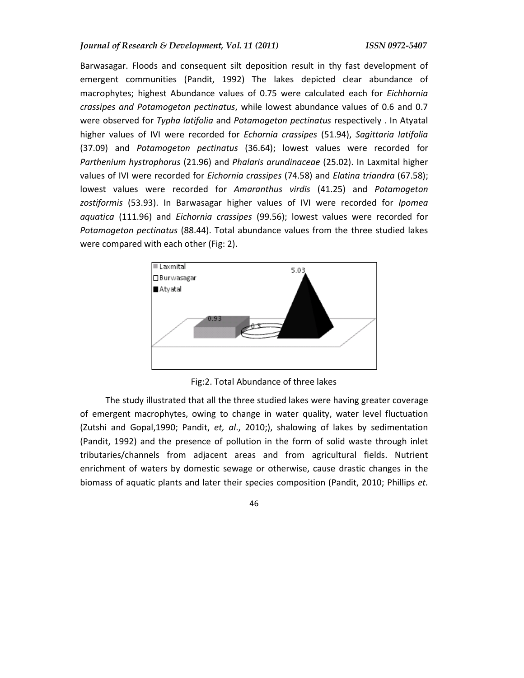Barwasagar. Floods and consequent silt deposition result in thy fast development of emergent communities (Pandit, 1992) The lakes depicted clear abundance of macrophytes; highest Abundance values of 0.75 were calculated each for *Eichhornia crassipes and Potamogeton pectinatus*, while lowest abundance values of 0.6 and 0.7 were observed for *Typha latifolia* and *Potamogeton pectinatus* respectively . In Atyatal higher values of IVI were recorded for *Echornia crassipes* (51.94), *Sagittaria latifolia* (37.09) and *Potamogeton pectinatus* (36.64); lowest values were recorded for *Parthenium hystrophorus* (21.96) and *Phalaris arundinaceae* (25.02). In Laxmital higher values of IVI were recorded for *Eichornia crassipes* (74.58) and *Elatina triandra* (67.58); lowest values were recorded for *Amaranthus virdis* (41.25) and *Potamogeton zostiformis* (53.93). In Barwasagar higher values of IVI were recorded for *Ipomea aquatica* (111.96) and *Eichornia crassipes* (99.56); lowest values were recorded for *Potamogeton pectinatus* (88.44). Total abundance values from the three studied lakes were compared with each other (Fig: 2).



Fig:2. Total Abundance of three lakes

 The study illustrated that all the three studied lakes were having greater coverage of emergent macrophytes, owing to change in water quality, water level fluctuation (Zutshi and Gopal,1990; Pandit, *et, al*., 2010;), shalowing of lakes by sedimentation (Pandit, 1992) and the presence of pollution in the form of solid waste through inlet tributaries/channels from adjacent areas and from agricultural fields. Nutrient enrichment of waters by domestic sewage or otherwise, cause drastic changes in the biomass of aquatic plants and later their species composition (Pandit, 2010; Phillips *et.*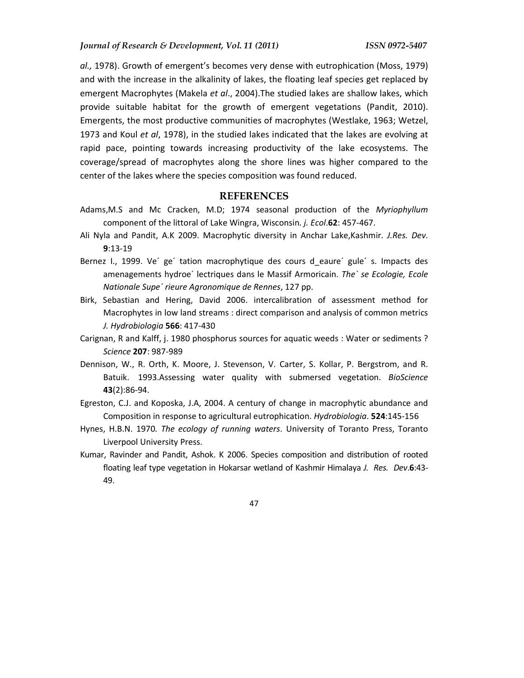*al.,* 1978). Growth of emergent's becomes very dense with eutrophication (Moss, 1979) and with the increase in the alkalinity of lakes, the floating leaf species get replaced by emergent Macrophytes (Makela *et al*., 2004).The studied lakes are shallow lakes, which provide suitable habitat for the growth of emergent vegetations (Pandit, 2010). Emergents, the most productive communities of macrophytes (Westlake, 1963; Wetzel, 1973 and Koul *et al*, 1978), in the studied lakes indicated that the lakes are evolving at rapid pace, pointing towards increasing productivity of the lake ecosystems. The coverage/spread of macrophytes along the shore lines was higher compared to the center of the lakes where the species composition was found reduced.

#### **REFERENCES**

- Adams,M.S and Mc Cracken, M.D; 1974 seasonal production of the *Myriophyllum*  component of the littoral of Lake Wingra, Wisconsin*. j. Ecol*.**62**: 457-467.
- Ali Nyla and Pandit, A.K 2009. Macrophytic diversity in Anchar Lake,Kashmir. *J.Res. Dev*. **9**:13-19
- Bernez I., 1999. Ve´ ge´ tation macrophytique des cours d\_eaure´ gule´ s. Impacts des amenagements hydroe´ lectriques dans le Massif Armoricain. *The` se Ecologie, Ecole Nationale Supe´ rieure Agronomique de Rennes*, 127 pp.
- Birk, Sebastian and Hering, David 2006. intercalibration of assessment method for Macrophytes in low land streams : direct comparison and analysis of common metrics *J. Hydrobiologia* **566**: 417-430
- Carignan, R and Kalff, j. 1980 phosphorus sources for aquatic weeds : Water or sediments ? *Science* **207**: 987-989
- Dennison, W., R. Orth, K. Moore, J. Stevenson, V. Carter, S. Kollar, P. Bergstrom, and R. Batuik. 1993.Assessing water quality with submersed vegetation. *BioScience* **43**(2):86-94.
- Egreston, C.J. and Koposka, J.A, 2004. A century of change in macrophytic abundance and Composition in response to agricultural eutrophication. *Hydrobiologia*. **524**:145-156
- Hynes, H.B.N. 1970*. The ecology of running waters*. University of Toranto Press, Toranto Liverpool University Press.
- Kumar, Ravinder and Pandit, Ashok. K 2006. Species composition and distribution of rooted floating leaf type vegetation in Hokarsar wetland of Kashmir Himalaya *J. Res. Dev*.**6**:43- 49.